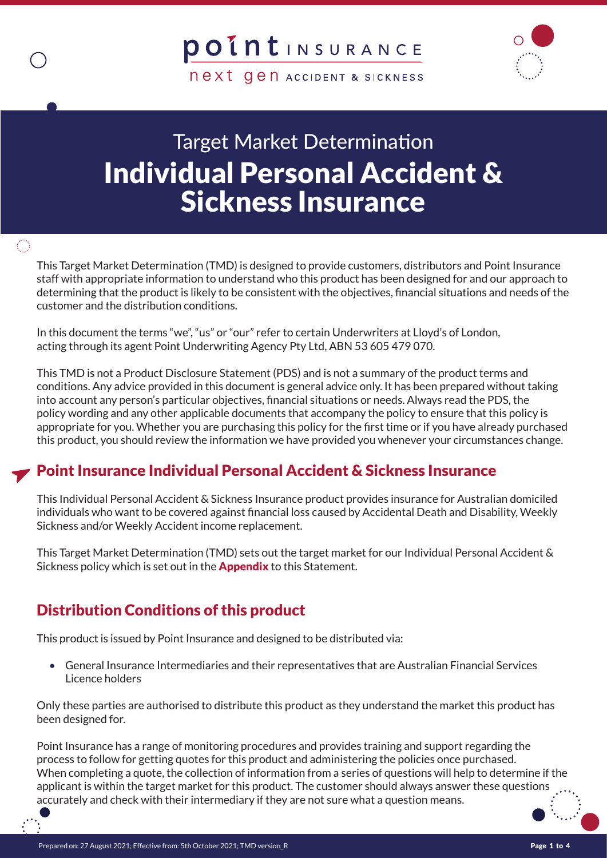**next gen ACCIDENT & SICKNESS** 

# Target Market Determination Individual Personal Accident & Sickness Insurance

 $\bigcirc$ 

This Target Market Determination (TMD) is designed to provide customers, distributors and Point Insurance staff with appropriate information to understand who this product has been designed for and our approach to determining that the product is likely to be consistent with the objectives, financial situations and needs of the customer and the distribution conditions.

In this document the terms "we", "us" or "our" refer to certain Underwriters at Lloyd's of London, acting through its agent Point Underwriting Agency Pty Ltd, ABN 53 605 479 070.

This TMD is not a Product Disclosure Statement (PDS) and is not a summary of the product terms and conditions. Any advice provided in this document is general advice only. It has been prepared without taking into account any person's particular objectives, financial situations or needs. Always read the PDS, the policy wording and any other applicable documents that accompany the policy to ensure that this policy is appropriate for you. Whether you are purchasing this policy for the first time or if you have already purchased this product, you should review the information we have provided you whenever your circumstances change.

# Point Insurance Individual Personal Accident & Sickness Insurance

This Individual Personal Accident & Sickness Insurance product provides insurance for Australian domiciled individuals who want to be covered against financial loss caused by Accidental Death and Disability, Weekly Sickness and/or Weekly Accident income replacement.

This Target Market Determination (TMD) sets out the target market for our Individual Personal Accident & Sickness policy which is set out in the **Appendix** to this Statement.

### Distribution Conditions of this product

This product is issued by Point Insurance and designed to be distributed via:

• General Insurance Intermediaries and their representatives that are Australian Financial Services Licence holders

Only these parties are authorised to distribute this product as they understand the market this product has been designed for.

Point Insurance has a range of monitoring procedures and provides training and support regarding the process to follow for getting quotes for this product and administering the policies once purchased. When completing a quote, the collection of information from a series of questions will help to determine if the applicant is within the target market for this product. The customer should always answer these questions accurately and check with their intermediary if they are not sure what a question means.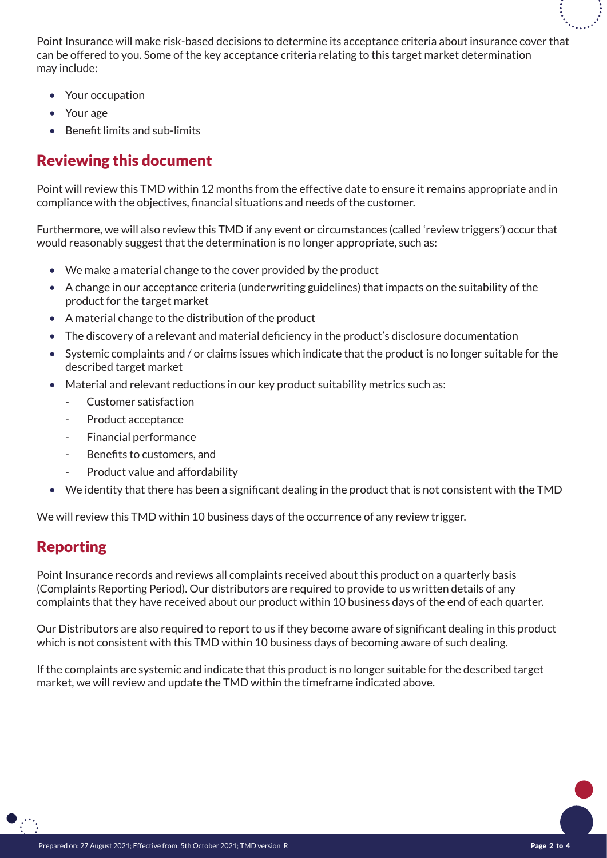Point Insurance will make risk-based decisions to determine its acceptance criteria about insurance cover that can be offered to you. Some of the key acceptance criteria relating to this target market determination may include:

- Your occupation
- Your age
- Benefit limits and sub-limits

#### Reviewing this document

Point will review this TMD within 12 months from the effective date to ensure it remains appropriate and in compliance with the objectives, financial situations and needs of the customer.

Furthermore, we will also review this TMD if any event or circumstances (called 'review triggers') occur that would reasonably suggest that the determination is no longer appropriate, such as:

- We make a material change to the cover provided by the product
- A change in our acceptance criteria (underwriting guidelines) that impacts on the suitability of the product for the target market
- A material change to the distribution of the product
- The discovery of a relevant and material deficiency in the product's disclosure documentation
- Systemic complaints and / or claims issues which indicate that the product is no longer suitable for the described target market
- Material and relevant reductions in our key product suitability metrics such as:
	- Customer satisfaction
	- Product acceptance
	- Financial performance
	- Benefits to customers, and
	- Product value and affordability
- We identity that there has been a significant dealing in the product that is not consistent with the TMD

We will review this TMD within 10 business days of the occurrence of any review trigger.

### Reporting

Point Insurance records and reviews all complaints received about this product on a quarterly basis (Complaints Reporting Period). Our distributors are required to provide to us written details of any complaints that they have received about our product within 10 business days of the end of each quarter.

Our Distributors are also required to report to us if they become aware of significant dealing in this product which is not consistent with this TMD within 10 business days of becoming aware of such dealing.

If the complaints are systemic and indicate that this product is no longer suitable for the described target market, we will review and update the TMD within the timeframe indicated above.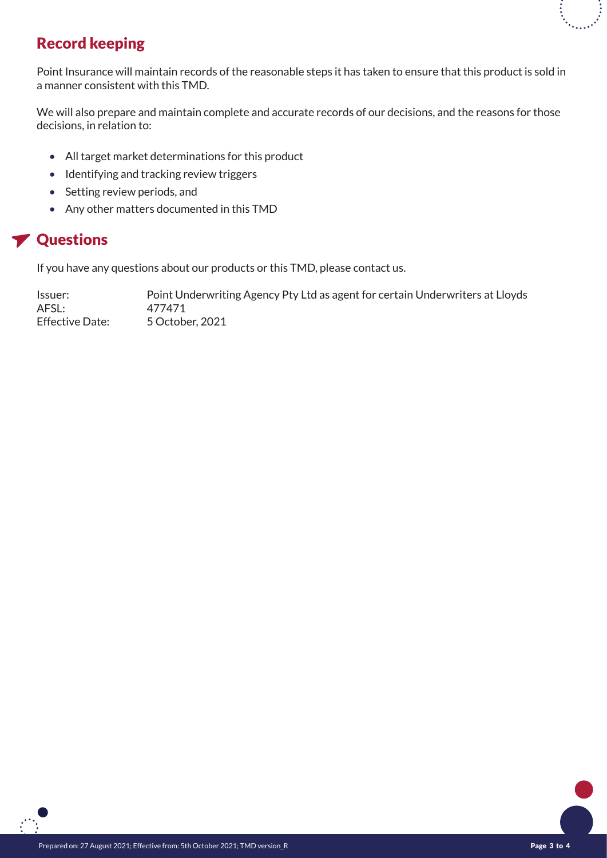# Record keeping

Point Insurance will maintain records of the reasonable steps it has taken to ensure that this product is sold in a manner consistent with this TMD.

We will also prepare and maintain complete and accurate records of our decisions, and the reasons for those decisions, in relation to:

- All target market determinations for this product
- Identifying and tracking review triggers
- Setting review periods, and
- Any other matters documented in this TMD

### **Y** Questions

If you have any questions about our products or this TMD, please contact us.

Issuer: Point Underwriting Agency Pty Ltd as agent for certain Underwriters at Lloyds AFSL: 477471 Effective Date: 5 October, 2021